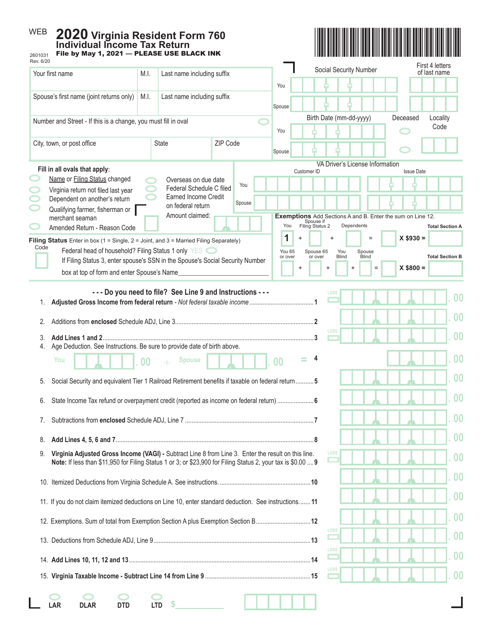| <b>WEB</b><br>2020 Virginia Resident Form 760<br><b>Individual Income Tax Return</b><br>File by May 1, 2021 - PLEASE USE BLACK INK<br>2601031                                                        |                |                                                  |          |                                                                     |                                                                                                                 |                      |                  |                                                                                                             |  |
|------------------------------------------------------------------------------------------------------------------------------------------------------------------------------------------------------|----------------|--------------------------------------------------|----------|---------------------------------------------------------------------|-----------------------------------------------------------------------------------------------------------------|----------------------|------------------|-------------------------------------------------------------------------------------------------------------|--|
| Rev. 6/20<br>Your first name                                                                                                                                                                         |                | Last name including suffix                       |          |                                                                     | Social Security Number                                                                                          |                      |                  | First 4 letters<br>of last name                                                                             |  |
|                                                                                                                                                                                                      | M.I.           |                                                  |          | You                                                                 |                                                                                                                 |                      |                  |                                                                                                             |  |
| Spouse's first name (joint returns only)<br>M.I.                                                                                                                                                     |                | Last name including suffix                       |          | Spouse                                                              |                                                                                                                 |                      |                  |                                                                                                             |  |
| Number and Street - If this is a change, you must fill in oval                                                                                                                                       |                |                                                  |          | Birth Date (mm-dd-yyyy)                                             |                                                                                                                 | Deceased             | Locality<br>Code |                                                                                                             |  |
| City, town, or post office                                                                                                                                                                           |                | <b>State</b>                                     | ZIP Code | You                                                                 |                                                                                                                 |                      |                  |                                                                                                             |  |
|                                                                                                                                                                                                      |                |                                                  |          | Spouse                                                              |                                                                                                                 |                      |                  |                                                                                                             |  |
| Fill in all ovals that apply:                                                                                                                                                                        |                |                                                  |          | VA Driver's License Information<br>Customer ID<br><b>Issue Date</b> |                                                                                                                 |                      |                  |                                                                                                             |  |
| Name or Filing Status changed<br>Virginia return not filed last year                                                                                                                                 |                | Overseas on due date<br>Federal Schedule C filed | You      |                                                                     |                                                                                                                 |                      |                  |                                                                                                             |  |
| Dependent on another's return<br>Qualifying farmer, fisherman or                                                                                                                                     |                | <b>Earned Income Credit</b><br>on federal return | Spouse   |                                                                     |                                                                                                                 |                      |                  |                                                                                                             |  |
| merchant seaman<br>Amended Return - Reason Code                                                                                                                                                      |                | Amount claimed:                                  |          | You                                                                 | <b>Exemptions</b> Add Sections A and B. Enter the sum on Line 12.<br>Spouse if<br>Dependents<br>Filing Status 2 |                      |                  | <b>Total Section A</b>                                                                                      |  |
| Filing Status Enter in box $(1 = \text{Single}, 2 = \text{Joint}, \text{and } 3 = \text{Married Filing Separately})$                                                                                 |                |                                                  |          | 1                                                                   |                                                                                                                 |                      | $X $930 =$       |                                                                                                             |  |
| Code<br>Federal head of household? Filing Status 1 only YES <a><br/>If Filing Status 3, enter spouse's SSN in the Spouse's Social Security Number<br/>box at top of form and enter Spouse's Name</a> |                |                                                  |          | You 65<br>or over                                                   | Spouse 65<br>You<br><b>Blind</b><br>or over<br>$\ddot{}$                                                        | Spouse<br>Blind<br>Ξ | $X$ \$800 =      | <b>Total Section B</b>                                                                                      |  |
| Age Deduction. See Instructions. Be sure to provide date of birth above.<br>4.<br>You<br>5. Social Security and equivalent Tier 1 Railroad Retirement benefits if taxable on federal return 5        | 0 <sub>0</sub> | <b>Spouse</b>                                    |          | 0 <sub>0</sub>                                                      |                                                                                                                 |                      |                  | $\overline{00}$<br>00<br>00                                                                                 |  |
| State Income Tax refund or overpayment credit (reported as income on federal return)  6<br>6.                                                                                                        |                |                                                  |          |                                                                     |                                                                                                                 |                      |                  |                                                                                                             |  |
| 7.                                                                                                                                                                                                   |                |                                                  |          |                                                                     |                                                                                                                 |                      |                  | $\boldsymbol{00}$                                                                                           |  |
| 8.<br>Virginia Adjusted Gross Income (VAGI) - Subtract Line 8 from Line 3. Enter the result on this line.                                                                                            |                |                                                  |          |                                                                     |                                                                                                                 |                      |                  | $\boldsymbol{00}$                                                                                           |  |
| 9.<br>Note: If less than \$11,950 for Filing Status 1 or 3; or \$23,900 for Filing Status 2, your tax is \$0.00  9                                                                                   |                |                                                  |          |                                                                     |                                                                                                                 |                      |                  | 0 <sub>0</sub>                                                                                              |  |
|                                                                                                                                                                                                      |                |                                                  |          |                                                                     |                                                                                                                 |                      |                  |                                                                                                             |  |
|                                                                                                                                                                                                      |                |                                                  |          |                                                                     |                                                                                                                 |                      |                  |                                                                                                             |  |
| 11. If you do not claim itemized deductions on Line 10, enter standard deduction. See instructions 11                                                                                                |                |                                                  |          |                                                                     |                                                                                                                 |                      |                  |                                                                                                             |  |
|                                                                                                                                                                                                      |                |                                                  |          |                                                                     |                                                                                                                 |                      |                  |                                                                                                             |  |
| 12. Exemptions. Sum of total from Exemption Section A plus Exemption Section B12                                                                                                                     |                |                                                  |          |                                                                     | LOSS                                                                                                            |                      |                  |                                                                                                             |  |
|                                                                                                                                                                                                      |                |                                                  |          |                                                                     | LOSS                                                                                                            |                      |                  |                                                                                                             |  |
|                                                                                                                                                                                                      |                |                                                  |          |                                                                     | LOSS                                                                                                            |                      |                  | 0 <sub>0</sub><br>0 <sub>0</sub><br>0 <sub>0</sub><br>0 <sub>0</sub><br>0 <sub>0</sub><br>$\boldsymbol{00}$ |  |